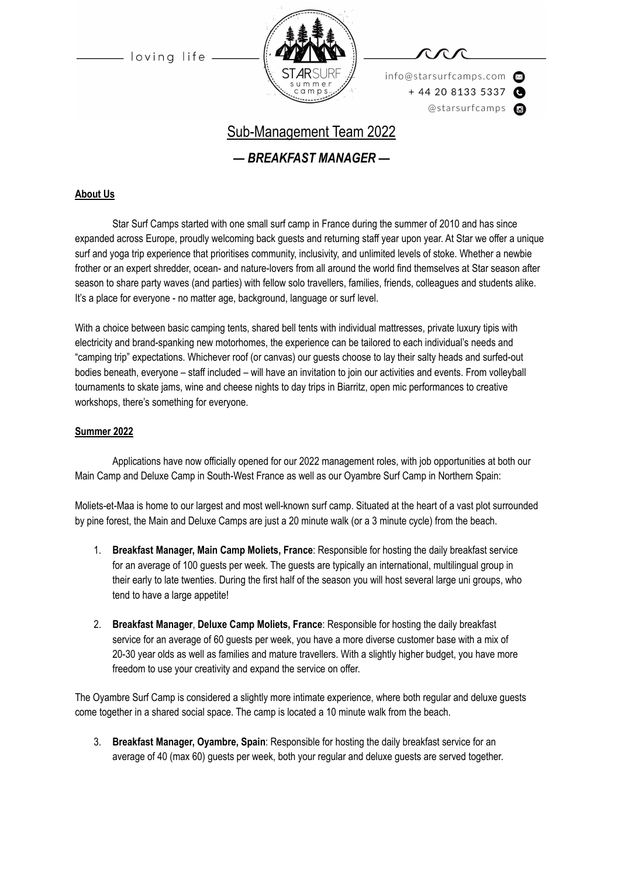loving life



info@starsurfcamps.com  $+442081335337$ @starsurfcamps @

## Sub-Management Team 2022

*— BREAKFAST MANAGER —*

## **About Us**

Star Surf Camps started with one small surf camp in France during the summer of 2010 and has since expanded across Europe, proudly welcoming back guests and returning staff year upon year. At Star we offer a unique surf and yoga trip experience that prioritises community, inclusivity, and unlimited levels of stoke. Whether a newbie frother or an expert shredder, ocean- and nature-lovers from all around the world find themselves at Star season after season to share party waves (and parties) with fellow solo travellers, families, friends, colleagues and students alike. It's a place for everyone - no matter age, background, language or surf level.

With a choice between basic camping tents, shared bell tents with individual mattresses, private luxury tipis with electricity and brand-spanking new motorhomes, the experience can be tailored to each individual's needs and "camping trip" expectations. Whichever roof (or canvas) our guests choose to lay their salty heads and surfed-out bodies beneath, everyone – staff included – will have an invitation to join our activities and events. From volleyball tournaments to skate jams, wine and cheese nights to day trips in Biarritz, open mic performances to creative workshops, there's something for everyone.

### **Summer 2022**

Applications have now officially opened for our 2022 management roles, with job opportunities at both our Main Camp and Deluxe Camp in South-West France as well as our Oyambre Surf Camp in Northern Spain:

Moliets-et-Maa is home to our largest and most well-known surf camp. Situated at the heart of a vast plot surrounded by pine forest, the Main and Deluxe Camps are just a 20 minute walk (or a 3 minute cycle) from the beach.

- 1. **Breakfast Manager, Main Camp Moliets, France**: Responsible for hosting the daily breakfast service for an average of 100 guests per week. The guests are typically an international, multilingual group in their early to late twenties. During the first half of the season you will host several large uni groups, who tend to have a large appetite!
- 2. **Breakfast Manager**, **Deluxe Camp Moliets, France**: Responsible for hosting the daily breakfast service for an average of 60 guests per week, you have a more diverse customer base with a mix of 20-30 year olds as well as families and mature travellers. With a slightly higher budget, you have more freedom to use your creativity and expand the service on offer.

The Oyambre Surf Camp is considered a slightly more intimate experience, where both regular and deluxe guests come together in a shared social space. The camp is located a 10 minute walk from the beach.

3. **Breakfast Manager, Oyambre, Spain**: Responsible for hosting the daily breakfast service for an average of 40 (max 60) guests per week, both your regular and deluxe guests are served together.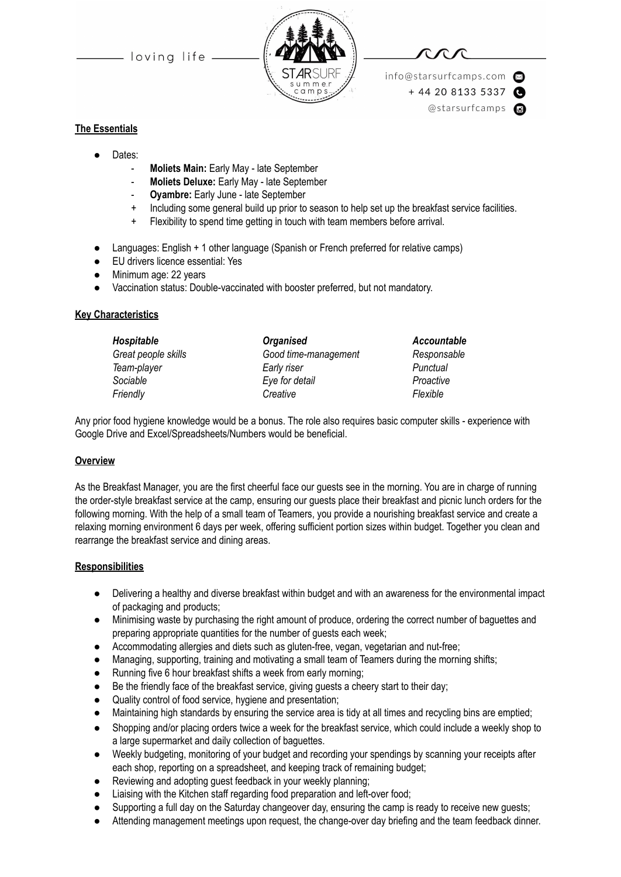- loving life -



info@starsurfcamps.com  $+442081335337$ @starsurfcamps @

## **The Essentials**

- Dates:
	- **Moliets Main:** Early May late September
	- **Moliets Deluxe:** Early May late September
	- **Oyambre:** Early June late September
	- + Including some general build up prior to season to help set up the breakfast service facilities.
	- + Flexibility to spend time getting in touch with team members before arrival.
- Languages: English + 1 other language (Spanish or French preferred for relative camps)
- EU drivers licence essential: Yes
- Minimum age: 22 years
- Vaccination status: Double-vaccinated with booster preferred, but not mandatory.

#### **Key Characteristics**

| <b>Organised</b>     | Account   |  |
|----------------------|-----------|--|
| Good time-management | Respons   |  |
| Early riser          | Punctual  |  |
| Eye for detail       | Proactive |  |
| Creative             | Flexible  |  |
|                      |           |  |

 $Accountable$ *Great people skills Good time-management Responsable*  $Proactive$ 

Any prior food hygiene knowledge would be a bonus. The role also requires basic computer skills - experience with Google Drive and Excel/Spreadsheets/Numbers would be beneficial.

### **Overview**

As the Breakfast Manager, you are the first cheerful face our guests see in the morning. You are in charge of running the order-style breakfast service at the camp, ensuring our guests place their breakfast and picnic lunch orders for the following morning. With the help of a small team of Teamers, you provide a nourishing breakfast service and create a relaxing morning environment 6 days per week, offering sufficient portion sizes within budget. Together you clean and rearrange the breakfast service and dining areas.

#### **Responsibilities**

- Delivering a healthy and diverse breakfast within budget and with an awareness for the environmental impact of packaging and products;
- Minimising waste by purchasing the right amount of produce, ordering the correct number of baguettes and preparing appropriate quantities for the number of guests each week;
- Accommodating allergies and diets such as gluten-free, vegan, vegetarian and nut-free;
- Managing, supporting, training and motivating a small team of Teamers during the morning shifts;
- Running five 6 hour breakfast shifts a week from early morning;
- Be the friendly face of the breakfast service, giving guests a cheery start to their day;
- Quality control of food service, hygiene and presentation;
- Maintaining high standards by ensuring the service area is tidy at all times and recycling bins are emptied;
- Shopping and/or placing orders twice a week for the breakfast service, which could include a weekly shop to a large supermarket and daily collection of baguettes.
- Weekly budgeting, monitoring of your budget and recording your spendings by scanning your receipts after each shop, reporting on a spreadsheet, and keeping track of remaining budget;
- Reviewing and adopting guest feedback in your weekly planning;
- Liaising with the Kitchen staff regarding food preparation and left-over food;
- Supporting a full day on the Saturday changeover day, ensuring the camp is ready to receive new guests;
- Attending management meetings upon request, the change-over day briefing and the team feedback dinner.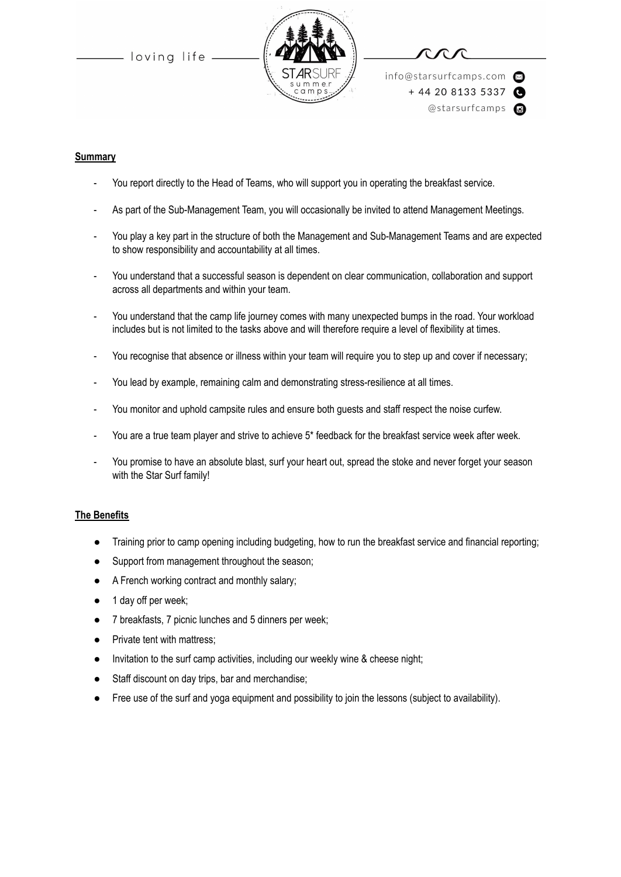loving life



info@starsurfcamps.com  $+442081335337$ @starsurfcamps @

#### **Summary**

- You report directly to the Head of Teams, who will support you in operating the breakfast service.
- As part of the Sub-Management Team, you will occasionally be invited to attend Management Meetings.
- You play a key part in the structure of both the Management and Sub-Management Teams and are expected to show responsibility and accountability at all times.
- You understand that a successful season is dependent on clear communication, collaboration and support across all departments and within your team.
- You understand that the camp life journey comes with many unexpected bumps in the road. Your workload includes but is not limited to the tasks above and will therefore require a level of flexibility at times.
- You recognise that absence or illness within your team will require you to step up and cover if necessary;
- You lead by example, remaining calm and demonstrating stress-resilience at all times.
- You monitor and uphold campsite rules and ensure both guests and staff respect the noise curfew.
- You are a true team player and strive to achieve 5\* feedback for the breakfast service week after week.
- You promise to have an absolute blast, surf your heart out, spread the stoke and never forget your season with the Star Surf family!

#### **The Benefits**

- Training prior to camp opening including budgeting, how to run the breakfast service and financial reporting;
- Support from management throughout the season;
- A French working contract and monthly salary;
- 1 day off per week;
- 7 breakfasts, 7 picnic lunches and 5 dinners per week;
- Private tent with mattress;
- Invitation to the surf camp activities, including our weekly wine & cheese night;
- Staff discount on day trips, bar and merchandise;
- Free use of the surf and yoga equipment and possibility to join the lessons (subject to availability).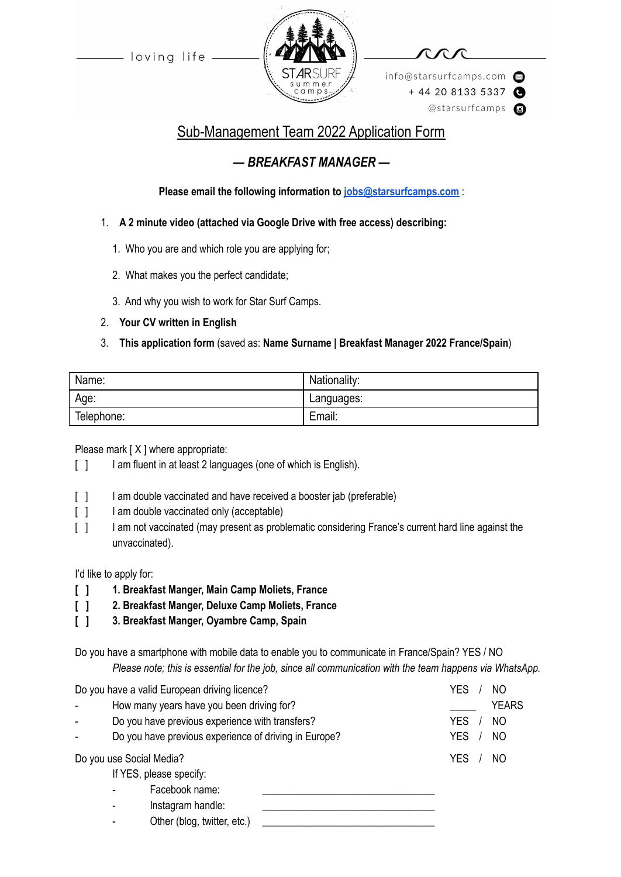loving life



info@starsurfcamps.com  $+442081335337$ @starsurfcamps @

# Sub-Management Team 2022 Application Form

## *— BREAKFAST MANAGER —*

**Please email the following information to [jobs@starsurfcamps.com](mailto:jobs@starsurfcamps.com)** :

- 1. **A 2 minute video (attached via Google Drive with free access) describing:**
	- 1️. Who you are and which role you are applying for;
	- 2. What makes you the perfect candidate;
	- 3️. And why you wish to work for Star Surf Camps.
- 2. **Your CV written in English**

## 3. **This application form** (saved as: **Name Surname | Breakfast Manager 2022 France/Spain**)

| Name:      | Nationality: |
|------------|--------------|
| Age:       | Languages:   |
| Telephone: | Email:       |

Please mark [X ] where appropriate:

- [ ] I am fluent in at least 2 languages (one of which is English).
- [  $\vert$  ] I am double vaccinated and have received a booster jab (preferable)
- [ ] I am double vaccinated only (acceptable)
- [ ] I am not vaccinated (may present as problematic considering France's current hard line against the unvaccinated).

I'd like to apply for:

- **[ ] 1. Breakfast Manger, Main Camp Moliets, France**
- **[ ] 2. Breakfast Manger, Deluxe Camp Moliets, France**
- **[ ] 3. Breakfast Manger, Oyambre Camp, Spain**

Do you have a smartphone with mobile data to enable you to communicate in France/Spain? YES / NO *Please note; this is essential for the job, since all communication with the team happens via WhatsApp.*

| Do you have a valid European driving licence? |  | YES<br>NO                                             |                              |
|-----------------------------------------------|--|-------------------------------------------------------|------------------------------|
|                                               |  | How many years have you been driving for?             | <b>YEARS</b>                 |
|                                               |  | Do you have previous experience with transfers?       | <b>YES</b><br>N <sub>O</sub> |
|                                               |  | Do you have previous experience of driving in Europe? | <b>YES</b><br>N <sub>O</sub> |
| Do you use Social Media?                      |  |                                                       | <b>YES</b><br>NO             |
|                                               |  | If YES, please specify:                               |                              |
|                                               |  | Facebook name:                                        |                              |
|                                               |  | Instagram handle:                                     |                              |
|                                               |  | Other (blog, twitter, etc.)                           |                              |